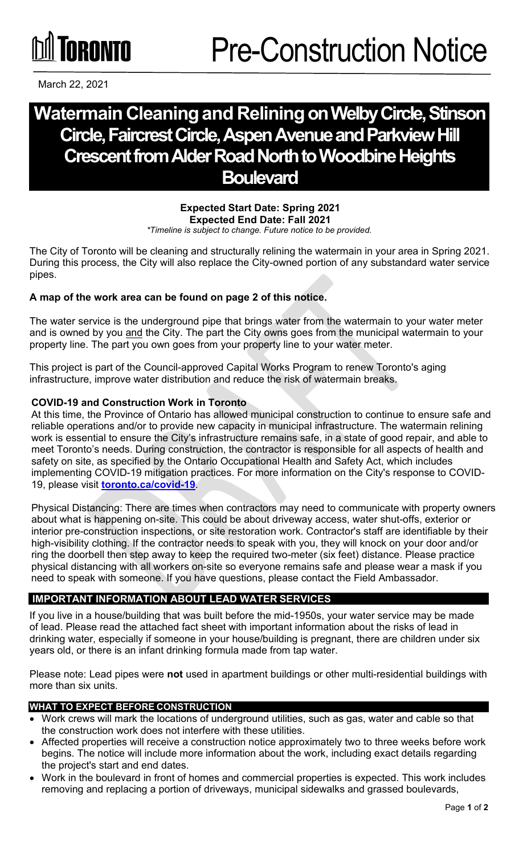March 22, 2021

# **Watermain Cleaningand Reliningon Welby Circle, Stinson Circle, Faircrest Circle, Aspen Avenue and Parkview Hill Crescent from Alder Road North to Woodbine Heights Boulevard**

#### **Expected Start Date: Spring 2021 Expected End Date: Fall 2021** *\*Timeline is subject to change. Future notice to be provided.*

The City of Toronto will be cleaning and structurally relining the watermain in your area in Spring 2021. During this process, the City will also replace the City-owned portion of any substandard water service pipes.

# **A map of the work area can be found on page 2 of this notice.**

The water service is the underground pipe that brings water from the watermain to your water meter and is owned by you and the City. The part the City owns goes from the municipal watermain to your property line. The part you own goes from your property line to your water meter.

This project is part of the Council-approved Capital Works Program to renew Toronto's aging infrastructure, improve water distribution and reduce the risk of watermain breaks.

# **COVID-19 and Construction Work in Toronto**

At this time, the Province of Ontario has allowed municipal construction to continue to ensure safe and reliable operations and/or to provide new capacity in municipal infrastructure. The watermain relining work is essential to ensure the City's infrastructure remains safe, in a state of good repair, and able to meet Toronto's needs. During construction, the contractor is responsible for all aspects of health and safety on site, as specified by the Ontario Occupational Health and Safety Act, which includes implementing COVID-19 mitigation practices. For more information on the City's response to COVID-19, please visit **[toronto.ca/covid-19](http://toronto.ca/covid-19)**.

Physical Distancing: There are times when contractors may need to communicate with property owners about what is happening on-site. This could be about driveway access, water shut-offs, exterior or interior pre-construction inspections, or site restoration work. Contractor's staff are identifiable by their high-visibility clothing. If the contractor needs to speak with you, they will knock on your door and/or ring the doorbell then step away to keep the required two-meter (six feet) distance. Please practice physical distancing with all workers on-site so everyone remains safe and please wear a mask if you need to speak with someone. If you have questions, please contact the Field Ambassador.

# **IMPORTANT INFORMATION ABOUT LEAD WATER SERVICES**

If you live in a house/building that was built before the mid-1950s, your water service may be made of lead. Please read the attached fact sheet with important information about the risks of lead in drinking water, especially if someone in your house/building is pregnant, there are children under six years old, or there is an infant drinking formula made from tap water.

Please note: Lead pipes were **not** used in apartment buildings or other multi-residential buildings with more than six units.

# **WHAT TO EXPECT BEFORE CONSTRUCTION**

- Work crews will mark the locations of underground utilities, such as gas, water and cable so that the construction work does not interfere with these utilities.
- Affected properties will receive a construction notice approximately two to three weeks before work begins. The notice will include more information about the work, including exact details regarding the project's start and end dates.
- Work in the boulevard in front of homes and commercial properties is expected. This work includes removing and replacing a portion of driveways, municipal sidewalks and grassed boulevards,